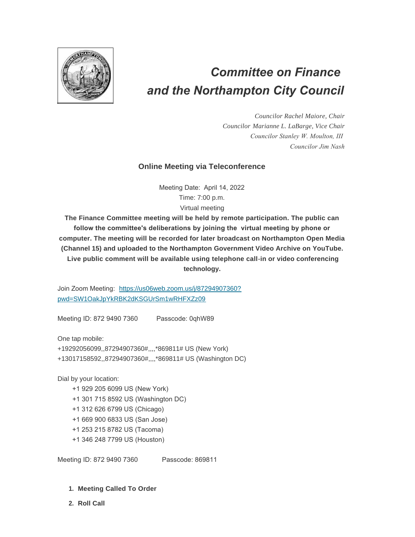

# *Committee on Finance and the Northampton City Council*

*Councilor Rachel Maiore, Chair Councilor Marianne L. LaBarge, Vice Chair Councilor Stanley W. Moulton, III Councilor Jim Nash*

## **Online Meeting via Teleconference**

Meeting Date: April 14, 2022 Time: 7:00 p.m. Virtual meeting

**The Finance Committee meeting will be held by remote participation. The public can follow the committee's deliberations by joining the virtual meeting by phone or computer. The meeting will be recorded for later broadcast on Northampton Open Media (Channel 15) and uploaded to the Northampton Government Video Archive on YouTube. Live public comment will be available using telephone call-in or video conferencing technology.**

Join Zoom Meeting: [https://us06web.zoom.us/j/87294907360?](https://us06web.zoom.us/j/87294907360?pwd=SW1OakJpYkRBK2dKSGUrSm1wRHFXZz09) pwd=SW1OakJpYkRBK2dKSGUrSm1wRHFXZz09

Meeting ID: 872 9490 7360 Passcode: 0qhW89

One tap mobile:

+19292056099,,87294907360#,,,,\*869811# US (New York)

+13017158592,,87294907360#,,,,\*869811# US (Washington DC)

Dial by your location:

- +1 929 205 6099 US (New York)
- +1 301 715 8592 US (Washington DC)
- +1 312 626 6799 US (Chicago)
- +1 669 900 6833 US (San Jose)
- +1 253 215 8782 US (Tacoma)
- +1 346 248 7799 US (Houston)

Meeting ID: 872 9490 7360 Passcode: 869811

- **Meeting Called To Order 1.**
- **Roll Call 2.**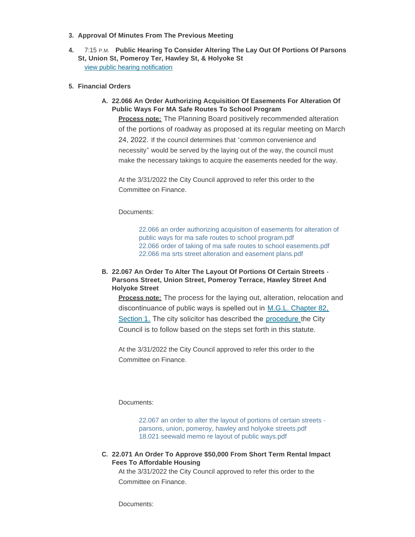- **Approval Of Minutes From The Previous Meeting 3.**
- **4.** 7:15 P.M. Public Hearing To Consider Altering The Lay Out Of Portions Of Parsons **St, Union St, Pomeroy Ter, Hawley St, & Holyoke St** [view public hearing notification](https://northamptonma.gov/AgendaCenter/ViewFile/Agenda/_04142022-6375)
- **Financial Orders 5.**
	- **22.066 An Order Authorizing Acquisition Of Easements For Alteration Of A. Public Ways For MA Safe Routes To School Program Process note:** The Planning Board positively recommended alteration

of the portions of roadway as proposed at its regular meeting on March 24, 2022. If the council determines that "common convenience and necessity" would be served by the laying out of the way, the council must make the necessary takings to acquire the easements needed for the way.

At the 3/31/2022 the City Council approved to refer this order to the Committee on Finance.

Documents:

[22.066 an order authorizing acquisition of easements for alteration of](https://northamptonma.gov/AgendaCenter/ViewFile/Item/18961?fileID=165398)  public ways for ma safe routes to school program.pdf [22.066 order of taking of ma safe routes to school easements.pdf](https://northamptonma.gov/AgendaCenter/ViewFile/Item/18961?fileID=165400) [22.066 ma srts street alteration and easement plans.pdf](https://northamptonma.gov/AgendaCenter/ViewFile/Item/18961?fileID=165399)

### **22.067 An Order To Alter The Layout Of Portions Of Certain Streets - B. Parsons Street, Union Street, Pomeroy Terrace, Hawley Street And Holyoke Street**

**Process note:** The process for the laying out, alteration, relocation and discontinuance of public ways is spelled out in [M.G.L. Chapter 82,](https://malegislature.gov/Laws/GeneralLaws/PartI/TitleXIV/Chapter82)  Section 1. The city solicitor has described the [procedure](https://northamptonma.gov/DocumentCenter/View/19543/18021-Seewald-Memo-re-Layout-of-Public-Ways) the City Council is to follow based on the steps set forth in this statute.

At the 3/31/2022 the City Council approved to refer this order to the Committee on Finance.

Documents:

[22.067 an order to alter the layout of portions of certain streets](https://northamptonma.gov/AgendaCenter/ViewFile/Item/18962?fileID=165401)  parsons, union, pomeroy, hawley and holyoke streets.pdf [18.021 seewald memo re layout of public ways.pdf](https://northamptonma.gov/AgendaCenter/ViewFile/Item/18962?fileID=165402)

#### **22.071 An Order To Approve \$50,000 From Short Term Rental Impact C. Fees To Affordable Housing**

At the 3/31/2022 the City Council approved to refer this order to the Committee on Finance.

Documents: